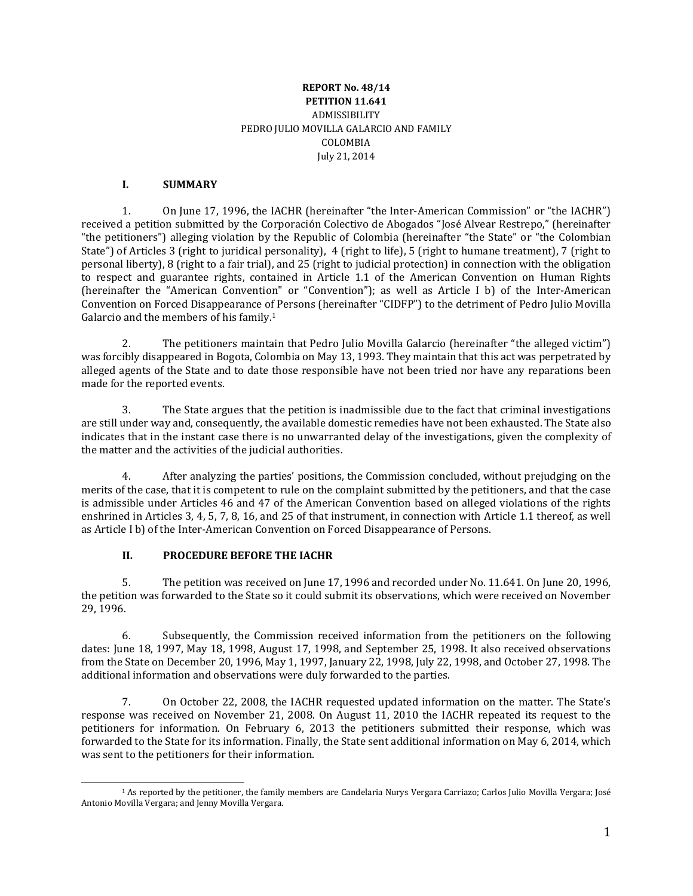#### **REPORT No. 48/14 PETITION 11.641** ADMISSIBILITY PEDRO JULIO MOVILLA GALARCIO AND FAMILY COLOMBIA July 21, 2014

#### **I. SUMMARY**

1. On June 17, 1996, the IACHR (hereinafter "the Inter-American Commission" or "the IACHR") received a petition submitted by the Corporación Colectivo de Abogados "José Alvear Restrepo," (hereinafter "the petitioners") alleging violation by the Republic of Colombia (hereinafter "the State" or "the Colombian State") of Articles 3 (right to juridical personality), 4 (right to life), 5 (right to humane treatment), 7 (right to personal liberty), 8 (right to a fair trial), and 25 (right to judicial protection) in connection with the obligation to respect and guarantee rights, contained in Article 1.1 of the American Convention on Human Rights (hereinafter the "American Convention" or "Convention"); as well as Article I b) of the Inter-American Convention on Forced Disappearance of Persons (hereinafter "CIDFP") to the detriment of Pedro Julio Movilla Galarcio and the members of his family.<sup>1</sup>

2. The petitioners maintain that Pedro Julio Movilla Galarcio (hereinafter "the alleged victim") was forcibly disappeared in Bogota, Colombia on May 13, 1993. They maintain that this act was perpetrated by alleged agents of the State and to date those responsible have not been tried nor have any reparations been made for the reported events.

3. The State argues that the petition is inadmissible due to the fact that criminal investigations are still under way and, consequently, the available domestic remedies have not been exhausted. The State also indicates that in the instant case there is no unwarranted delay of the investigations, given the complexity of the matter and the activities of the judicial authorities.

4. After analyzing the parties' positions, the Commission concluded, without prejudging on the merits of the case, that it is competent to rule on the complaint submitted by the petitioners, and that the case is admissible under Articles 46 and 47 of the American Convention based on alleged violations of the rights enshrined in Articles 3, 4, 5, 7, 8, 16, and 25 of that instrument, in connection with Article 1.1 thereof, as well as Article I b) of the Inter-American Convention on Forced Disappearance of Persons.

### **II. PROCEDURE BEFORE THE IACHR**

5. The petition was received on June 17, 1996 and recorded under No. 11.641. On June 20, 1996, the petition was forwarded to the State so it could submit its observations, which were received on November 29, 1996.

6. Subsequently, the Commission received information from the petitioners on the following dates: June 18, 1997, May 18, 1998, August 17, 1998, and September 25, 1998. It also received observations from the State on December 20, 1996, May 1, 1997, January 22, 1998, July 22, 1998, and October 27, 1998. The additional information and observations were duly forwarded to the parties.

7. On October 22, 2008, the IACHR requested updated information on the matter. The State's response was received on November 21, 2008. On August 11, 2010 the IACHR repeated its request to the petitioners for information. On February 6, 2013 the petitioners submitted their response, which was forwarded to the State for its information. Finally, the State sent additional information on May 6, 2014, which was sent to the petitioners for their information.

<sup>1</sup> As reported by the petitioner, the family members are Candelaria Nurys Vergara Carriazo; Carlos Julio Movilla Vergara; José Antonio Movilla Vergara; and Jenny Movilla Vergara.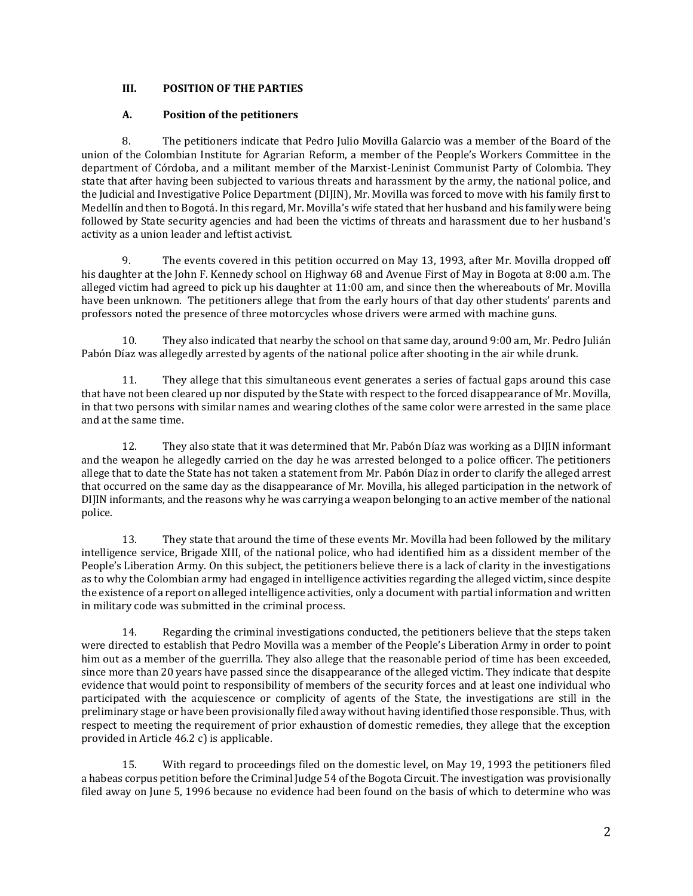### **III. POSITION OF THE PARTIES**

## **A. Position of the petitioners**

8. The petitioners indicate that Pedro Julio Movilla Galarcio was a member of the Board of the union of the Colombian Institute for Agrarian Reform, a member of the People's Workers Committee in the department of Córdoba, and a militant member of the Marxist-Leninist Communist Party of Colombia. They state that after having been subjected to various threats and harassment by the army, the national police, and the Judicial and Investigative Police Department (DIJIN), Mr. Movilla was forced to move with his family first to Medellín and then to Bogotá. In this regard, Mr. Movilla's wife stated that her husband and his family were being followed by State security agencies and had been the victims of threats and harassment due to her husband's activity as a union leader and leftist activist.

9. The events covered in this petition occurred on May 13, 1993, after Mr. Movilla dropped off his daughter at the John F. Kennedy school on Highway 68 and Avenue First of May in Bogota at 8:00 a.m. The alleged victim had agreed to pick up his daughter at 11:00 am, and since then the whereabouts of Mr. Movilla have been unknown. The petitioners allege that from the early hours of that day other students' parents and professors noted the presence of three motorcycles whose drivers were armed with machine guns.

10. They also indicated that nearby the school on that same day, around 9:00 am, Mr. Pedro Julián Pabón Díaz was allegedly arrested by agents of the national police after shooting in the air while drunk.

11. They allege that this simultaneous event generates a series of factual gaps around this case that have not been cleared up nor disputed by the State with respect to the forced disappearance of Mr. Movilla, in that two persons with similar names and wearing clothes of the same color were arrested in the same place and at the same time.

12. They also state that it was determined that Mr. Pabón Díaz was working as a DIJIN informant and the weapon he allegedly carried on the day he was arrested belonged to a police officer. The petitioners allege that to date the State has not taken a statement from Mr. Pabón Díaz in order to clarify the alleged arrest that occurred on the same day as the disappearance of Mr. Movilla, his alleged participation in the network of DIJIN informants, and the reasons why he was carrying a weapon belonging to an active member of the national police.

13. They state that around the time of these events Mr. Movilla had been followed by the military intelligence service, Brigade XIII, of the national police, who had identified him as a dissident member of the People's Liberation Army. On this subject, the petitioners believe there is a lack of clarity in the investigations as to why the Colombian army had engaged in intelligence activities regarding the alleged victim, since despite the existence of a report on alleged intelligence activities, only a document with partial information and written in military code was submitted in the criminal process.

14. Regarding the criminal investigations conducted, the petitioners believe that the steps taken were directed to establish that Pedro Movilla was a member of the People's Liberation Army in order to point him out as a member of the guerrilla. They also allege that the reasonable period of time has been exceeded, since more than 20 years have passed since the disappearance of the alleged victim. They indicate that despite evidence that would point to responsibility of members of the security forces and at least one individual who participated with the acquiescence or complicity of agents of the State, the investigations are still in the preliminary stage or have been provisionally filed away without having identified those responsible. Thus, with respect to meeting the requirement of prior exhaustion of domestic remedies, they allege that the exception provided in Article 46.2 c) is applicable.

15. With regard to proceedings filed on the domestic level, on May 19, 1993 the petitioners filed a habeas corpus petition before the Criminal Judge 54 of the Bogota Circuit. The investigation was provisionally filed away on June 5, 1996 because no evidence had been found on the basis of which to determine who was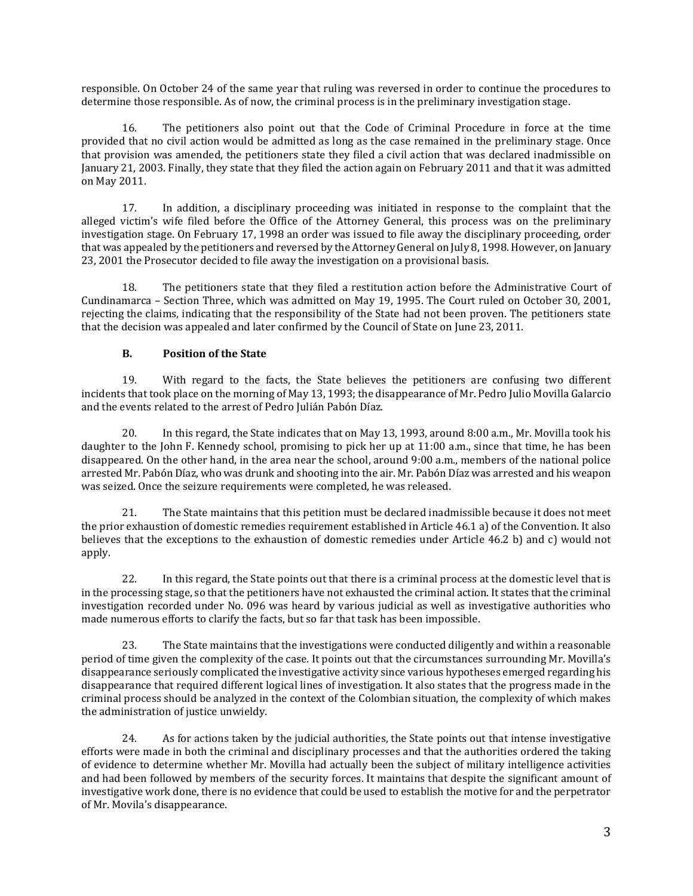responsible. On October 24 of the same year that ruling was reversed in order to continue the procedures to determine those responsible. As of now, the criminal process is in the preliminary investigation stage.

16. The petitioners also point out that the Code of Criminal Procedure in force at the time provided that no civil action would be admitted as long as the case remained in the preliminary stage. Once that provision was amended, the petitioners state they filed a civil action that was declared inadmissible on January 21, 2003. Finally, they state that they filed the action again on February 2011 and that it was admitted on May 2011.

17. In addition, a disciplinary proceeding was initiated in response to the complaint that the alleged victim's wife filed before the Office of the Attorney General, this process was on the preliminary investigation stage. On February 17, 1998 an order was issued to file away the disciplinary proceeding, order that was appealed by the petitioners and reversed by the Attorney General on July 8, 1998. However, on January 23, 2001 the Prosecutor decided to file away the investigation on a provisional basis.

18. The petitioners state that they filed a restitution action before the Administrative Court of Cundinamarca – Section Three, which was admitted on May 19, 1995. The Court ruled on October 30, 2001, rejecting the claims, indicating that the responsibility of the State had not been proven. The petitioners state that the decision was appealed and later confirmed by the Council of State on June 23, 2011.

#### **B. Position of the State**

19. With regard to the facts, the State believes the petitioners are confusing two different incidents that took place on the morning of May 13, 1993; the disappearance of Mr. Pedro Julio Movilla Galarcio and the events related to the arrest of Pedro Julián Pabón Díaz.

20. In this regard, the State indicates that on May 13, 1993, around 8:00 a.m., Mr. Movilla took his daughter to the John F. Kennedy school, promising to pick her up at 11:00 a.m., since that time, he has been disappeared. On the other hand, in the area near the school, around 9:00 a.m., members of the national police arrested Mr. Pabón Díaz, who was drunk and shooting into the air. Mr. Pabón Díaz was arrested and his weapon was seized. Once the seizure requirements were completed, he was released.

21. The State maintains that this petition must be declared inadmissible because it does not meet the prior exhaustion of domestic remedies requirement established in Article 46.1 a) of the Convention. It also believes that the exceptions to the exhaustion of domestic remedies under Article 46.2 b) and c) would not apply.

22. In this regard, the State points out that there is a criminal process at the domestic level that is in the processing stage, so that the petitioners have not exhausted the criminal action. It states that the criminal investigation recorded under No. 096 was heard by various judicial as well as investigative authorities who made numerous efforts to clarify the facts, but so far that task has been impossible.

23. The State maintains that the investigations were conducted diligently and within a reasonable period of time given the complexity of the case. It points out that the circumstances surrounding Mr. Movilla's disappearance seriously complicated the investigative activity since various hypotheses emerged regarding his disappearance that required different logical lines of investigation. It also states that the progress made in the criminal process should be analyzed in the context of the Colombian situation, the complexity of which makes the administration of justice unwieldy.

24. As for actions taken by the judicial authorities, the State points out that intense investigative efforts were made in both the criminal and disciplinary processes and that the authorities ordered the taking of evidence to determine whether Mr. Movilla had actually been the subject of military intelligence activities and had been followed by members of the security forces. It maintains that despite the significant amount of investigative work done, there is no evidence that could be used to establish the motive for and the perpetrator of Mr. Movila's disappearance.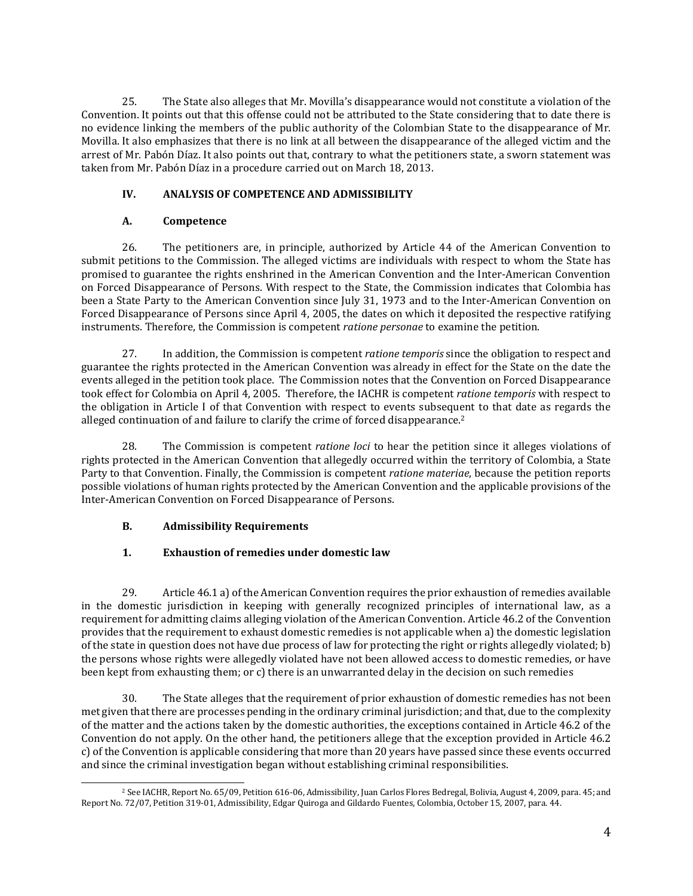25. The State also alleges that Mr. Movilla's disappearance would not constitute a violation of the Convention. It points out that this offense could not be attributed to the State considering that to date there is no evidence linking the members of the public authority of the Colombian State to the disappearance of Mr. Movilla. It also emphasizes that there is no link at all between the disappearance of the alleged victim and the arrest of Mr. Pabón Díaz. It also points out that, contrary to what the petitioners state, a sworn statement was taken from Mr. Pabón Díaz in a procedure carried out on March 18, 2013.

### **IV. ANALYSIS OF COMPETENCE AND ADMISSIBILITY**

## **A. Competence**

26. The petitioners are, in principle, authorized by Article 44 of the American Convention to submit petitions to the Commission. The alleged victims are individuals with respect to whom the State has promised to guarantee the rights enshrined in the American Convention and the Inter-American Convention on Forced Disappearance of Persons. With respect to the State, the Commission indicates that Colombia has been a State Party to the American Convention since July 31, 1973 and to the Inter-American Convention on Forced Disappearance of Persons since April 4, 2005, the dates on which it deposited the respective ratifying instruments. Therefore, the Commission is competent *ratione personae* to examine the petition.

27. In addition, the Commission is competent *ratione temporis* since the obligation to respect and guarantee the rights protected in the American Convention was already in effect for the State on the date the events alleged in the petition took place. The Commission notes that the Convention on Forced Disappearance took effect for Colombia on April 4, 2005. Therefore, the IACHR is competent *ratione temporis* with respect to the obligation in Article I of that Convention with respect to events subsequent to that date as regards the alleged continuation of and failure to clarify the crime of forced disappearance.<sup>2</sup>

28. The Commission is competent *ratione loci* to hear the petition since it alleges violations of rights protected in the American Convention that allegedly occurred within the territory of Colombia, a State Party to that Convention. Finally, the Commission is competent *ratione materiae*, because the petition reports possible violations of human rights protected by the American Convention and the applicable provisions of the Inter-American Convention on Forced Disappearance of Persons.

### **B. Admissibility Requirements**

# **1. Exhaustion of remedies under domestic law**

29. Article 46.1 a) of the American Convention requires the prior exhaustion of remedies available in the domestic jurisdiction in keeping with generally recognized principles of international law, as a requirement for admitting claims alleging violation of the American Convention. Article 46.2 of the Convention provides that the requirement to exhaust domestic remedies is not applicable when a) the domestic legislation of the state in question does not have due process of law for protecting the right or rights allegedly violated; b) the persons whose rights were allegedly violated have not been allowed access to domestic remedies, or have been kept from exhausting them; or c) there is an unwarranted delay in the decision on such remedies

30. The State alleges that the requirement of prior exhaustion of domestic remedies has not been met given thatthere are processes pending in the ordinary criminal jurisdiction; and that, due to the complexity of the matter and the actions taken by the domestic authorities, the exceptions contained in Article 46.2 of the Convention do not apply. On the other hand, the petitioners allege that the exception provided in Article 46.2 c) of the Convention is applicable considering that more than 20 years have passed since these events occurred and since the criminal investigation began without establishing criminal responsibilities.

<sup>2</sup> See IACHR, Report No. 65/09, Petition 616-06, Admissibility, Juan Carlos Flores Bedregal, Bolivia, August 4, 2009, para. 45; and Report No. 72/07, Petition 319-01, Admissibility, Edgar Quiroga and Gildardo Fuentes, Colombia, October 15, 2007, para. 44.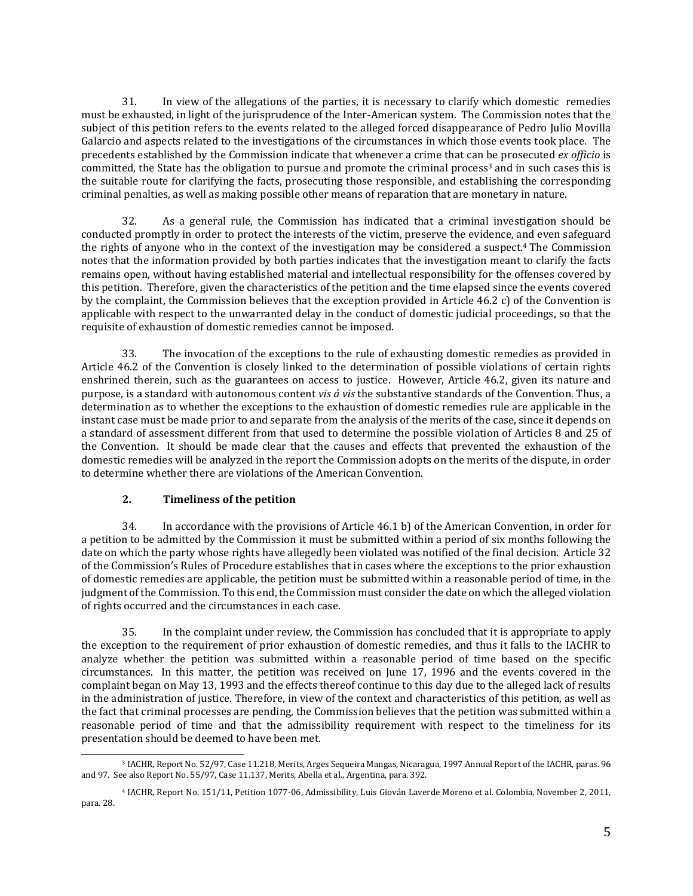31. In view of the allegations of the parties, it is necessary to clarify which domestic remedies must be exhausted, in light of the jurisprudence of the Inter-American system. The Commission notes that the subject of this petition refers to the events related to the alleged forced disappearance of Pedro Julio Movilla Galarcio and aspects related to the investigations of the circumstances in which those events took place. The precedents established by the Commission indicate that whenever a crime that can be prosecuted *ex officio* is committed, the State has the obligation to pursue and promote the criminal process<sup>3</sup> and in such cases this is the suitable route for clarifying the facts, prosecuting those responsible, and establishing the corresponding criminal penalties, as well as making possible other means of reparation that are monetary in nature.

32. As a general rule, the Commission has indicated that a criminal investigation should be conducted promptly in order to protect the interests of the victim, preserve the evidence, and even safeguard the rights of anyone who in the context of the investigation may be considered a suspect.<sup>4</sup> The Commission notes that the information provided by both parties indicates that the investigation meant to clarify the facts remains open, without having established material and intellectual responsibility for the offenses covered by this petition. Therefore, given the characteristics of the petition and the time elapsed since the events covered by the complaint, the Commission believes that the exception provided in Article 46.2 c) of the Convention is applicable with respect to the unwarranted delay in the conduct of domestic judicial proceedings, so that the requisite of exhaustion of domestic remedies cannot be imposed.

33. The invocation of the exceptions to the rule of exhausting domestic remedies as provided in Article 46.2 of the Convention is closely linked to the determination of possible violations of certain rights enshrined therein, such as the guarantees on access to justice. However, Article 46.2, given its nature and purpose, is a standard with autonomous content *vis á vis* the substantive standards of the Convention. Thus, a determination as to whether the exceptions to the exhaustion of domestic remedies rule are applicable in the instant case must be made prior to and separate from the analysis of the merits of the case, since it depends on a standard of assessment different from that used to determine the possible violation of Articles 8 and 25 of the Convention. It should be made clear that the causes and effects that prevented the exhaustion of the domestic remedies will be analyzed in the report the Commission adopts on the merits of the dispute, in order to determine whether there are violations of the American Convention.

### **2. Timeliness of the petition**

34. In accordance with the provisions of Article 46.1 b) of the American Convention, in order for a petition to be admitted by the Commission it must be submitted within a period of six months following the date on which the party whose rights have allegedly been violated was notified of the final decision. Article 32 of the Commission's Rules of Procedure establishes that in cases where the exceptions to the prior exhaustion of domestic remedies are applicable, the petition must be submitted within a reasonable period of time, in the judgment ofthe Commission. To this end, the Commission must consider the date on which the alleged violation of rights occurred and the circumstances in each case.

35. In the complaint under review, the Commission has concluded that it is appropriate to apply the exception to the requirement of prior exhaustion of domestic remedies, and thus it falls to the IACHR to analyze whether the petition was submitted within a reasonable period of time based on the specific circumstances. In this matter, the petition was received on June 17, 1996 and the events covered in the complaint began on May 13, 1993 and the effects thereof continue to this day due to the alleged lack of results in the administration of justice. Therefore, in view of the context and characteristics of this petition, as well as the fact that criminal processes are pending, the Commission believes that the petition was submitted within a reasonable period of time and that the admissibility requirement with respect to the timeliness for its presentation should be deemed to have been met.

<sup>3</sup> IACHR, Report No. 52/97, Case 11.218, Merits, Arges Sequeira Mangas, Nicaragua, 1997 Annual Report of the IACHR, paras. 96 and 97. See also Report No. 55/97, Case 11.137, Merits, Abella et al., Argentina, para. 392.

<sup>4</sup> IACHR, Report No. 151/11, Petition 1077-06, Admissibility, Luis Giován Laverde Moreno et al. Colombia, November 2, 2011, para. 28.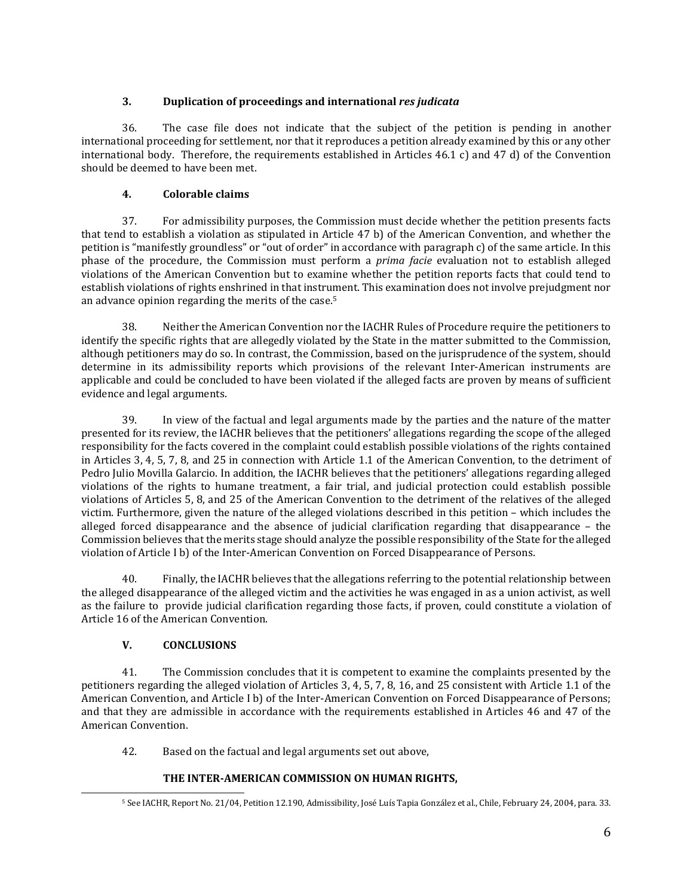## **3. Duplication of proceedings and international** *res judicata*

36. The case file does not indicate that the subject of the petition is pending in another international proceeding for settlement, nor that it reproduces a petition already examined by this or any other international body. Therefore, the requirements established in Articles 46.1 c) and 47 d) of the Convention should be deemed to have been met.

# **4. Colorable claims**

37. For admissibility purposes, the Commission must decide whether the petition presents facts that tend to establish a violation as stipulated in Article 47 b) of the American Convention, and whether the petition is "manifestly groundless" or "out of order" in accordance with paragraph c) of the same article. In this phase of the procedure, the Commission must perform a *prima facie* evaluation not to establish alleged violations of the American Convention but to examine whether the petition reports facts that could tend to establish violations of rights enshrined in that instrument. This examination does not involve prejudgment nor an advance opinion regarding the merits of the case.<sup>5</sup>

38. Neither the American Convention nor the IACHR Rules of Procedure require the petitioners to identify the specific rights that are allegedly violated by the State in the matter submitted to the Commission, although petitioners may do so. In contrast, the Commission, based on the jurisprudence of the system, should determine in its admissibility reports which provisions of the relevant Inter-American instruments are applicable and could be concluded to have been violated if the alleged facts are proven by means of sufficient evidence and legal arguments.

39. In view of the factual and legal arguments made by the parties and the nature of the matter presented for its review, the IACHR believes that the petitioners' allegations regarding the scope of the alleged responsibility for the facts covered in the complaint could establish possible violations of the rights contained in Articles 3, 4, 5, 7, 8, and 25 in connection with Article 1.1 of the American Convention, to the detriment of Pedro Julio Movilla Galarcio. In addition, the IACHR believes that the petitioners' allegations regarding alleged violations of the rights to humane treatment, a fair trial, and judicial protection could establish possible violations of Articles 5, 8, and 25 of the American Convention to the detriment of the relatives of the alleged victim. Furthermore, given the nature of the alleged violations described in this petition – which includes the alleged forced disappearance and the absence of judicial clarification regarding that disappearance – the Commission believes that the merits stage should analyze the possible responsibility of the State for the alleged violation of Article I b) of the Inter-American Convention on Forced Disappearance of Persons.

40. Finally, the IACHR believes that the allegations referring to the potential relationship between the alleged disappearance of the alleged victim and the activities he was engaged in as a union activist, as well as the failure to provide judicial clarification regarding those facts, if proven, could constitute a violation of Article 16 of the American Convention.

# **V. CONCLUSIONS**

41. The Commission concludes that it is competent to examine the complaints presented by the petitioners regarding the alleged violation of Articles 3, 4, 5, 7, 8, 16, and 25 consistent with Article 1.1 of the American Convention, and Article I b) of the Inter-American Convention on Forced Disappearance of Persons; and that they are admissible in accordance with the requirements established in Articles 46 and 47 of the American Convention.

42. Based on the factual and legal arguments set out above,

# **THE INTER-AMERICAN COMMISSION ON HUMAN RIGHTS,**

<sup>5</sup> See IACHR, Report No. 21/04, Petition 12.190, Admissibility, José Luís Tapia González et al., Chile, February 24, 2004, para. 33.